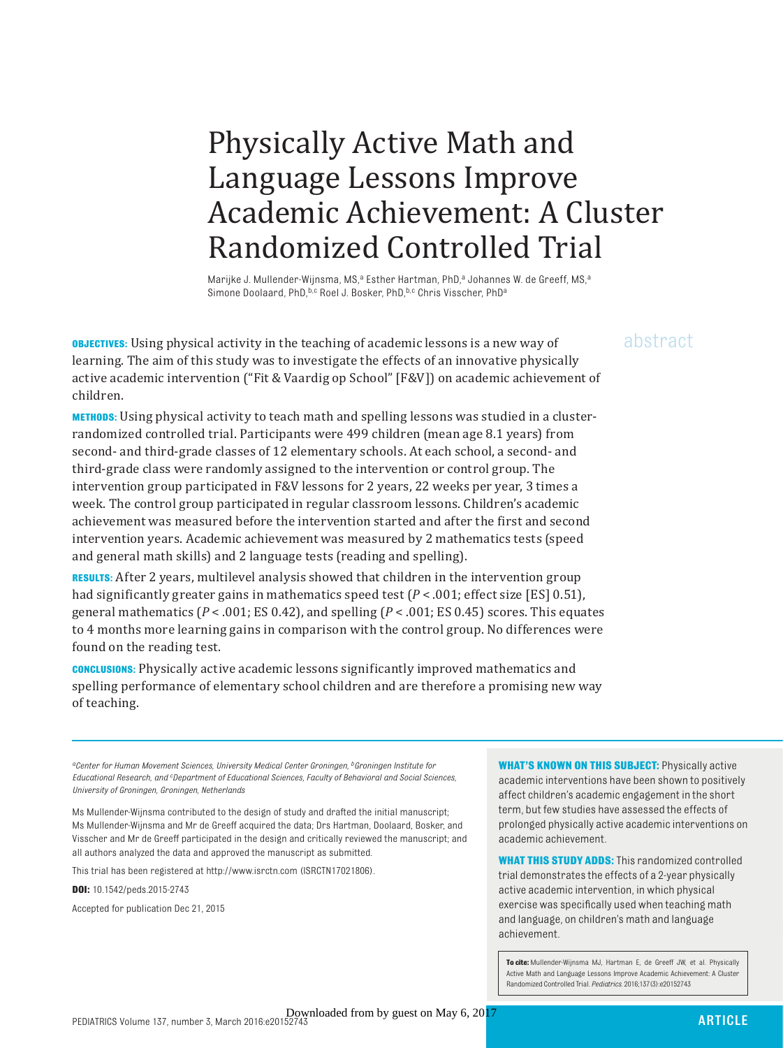## Physically Active Math and Language Lessons Improve Academic Achievement: A Cluster Randomized Controlled Trial

Marijke J. Mullender-Wijnsma, MS,<sup>a</sup> Esther Hartman, PhD,<sup>a</sup> Johannes W. de Greeff, MS,<sup>a</sup> Simone Doolaard, PhD, b,c Roel J. Bosker, PhD, b,c Chris Visscher, PhD<sup>a</sup>

**OBJECTIVES:** Using physical activity in the teaching of academic lessons is a new way of  $a\bar{b}$ stract learning. The aim of this study was to investigate the effects of an innovative physically active academic intervention ("Fit & Vaardig op School" [F&V]) on academic achievement of children.

**METHODS:** Using physical activity to teach math and spelling lessons was studied in a clusterrandomized controlled trial. Participants were 499 children (mean age 8.1 years) from second- and third-grade classes of 12 elementary schools. At each school, a second- and third-grade class were randomly assigned to the intervention or control group. The intervention group participated in F&V lessons for 2 years, 22 weeks per year, 3 times a week. The control group participated in regular classroom lessons. Children's academic achievement was measured before the intervention started and after the first and second intervention years. Academic achievement was measured by 2 mathematics tests (speed and general math skills) and 2 language tests (reading and spelling).

**RESULTS:** After 2 years, multilevel analysis showed that children in the intervention group had significantly greater gains in mathematics speed test  $(P < .001$ ; effect size [ES] 0.51), general mathematics (*P* < .001; ES 0.42), and spelling (*P* < .001; ES 0.45) scores. This equates to 4 months more learning gains in comparison with the control group. No differences were found on the reading test.

**CONCLUSIONS:** Physically active academic lessons significantly improved mathematics and spelling performance of elementary school children and are therefore a promising new way of teaching.

 *aCenter for Human Movement Sciences, University Medical Center Groningen, bGroningen Institute for Educational Research, and c Department of Educational Sciences, Faculty of Behavioral and Social Sciences, University of Groningen, Groningen, Netherlands*

Ms Mullender-Wijnsma contributed to the design of study and drafted the initial manuscript; Ms Mullender-Wijnsma and Mr de Greeff acquired the data; Drs Hartman, Doolaard, Bosker, and Visscher and Mr de Greeff participated in the design and critically reviewed the manuscript; and all authors analyzed the data and approved the manuscript as submitted.

This trial has been registered at http:// www. isrctn. com (ISRCTN17021806).

**DOI:** 10.1542/peds.2015-2743

Accepted for publication Dec 21, 2015

**WHAT'S KNOWN ON THIS SUBJECT: Physically active** academic interventions have been shown to positively affect children's academic engagement in the short term, but few studies have assessed the effects of prolonged physically active academic interventions on academic achievement.

**WHAT THIS STUDY ADDS:** This randomized controlled trial demonstrates the effects of a 2-year physically active academic intervention, in which physical exercise was specifically used when teaching math and language, on children's math and language achievement.

**To cite:** Mullender-Wijnsma MJ, Hartman E, de Greeff JW, et al. Physically Active Math and Language Lessons Improve Academic Achievement: A Cluster Randomized Controlled Trial. *Pediatrics.* 2016;137(3):e20152743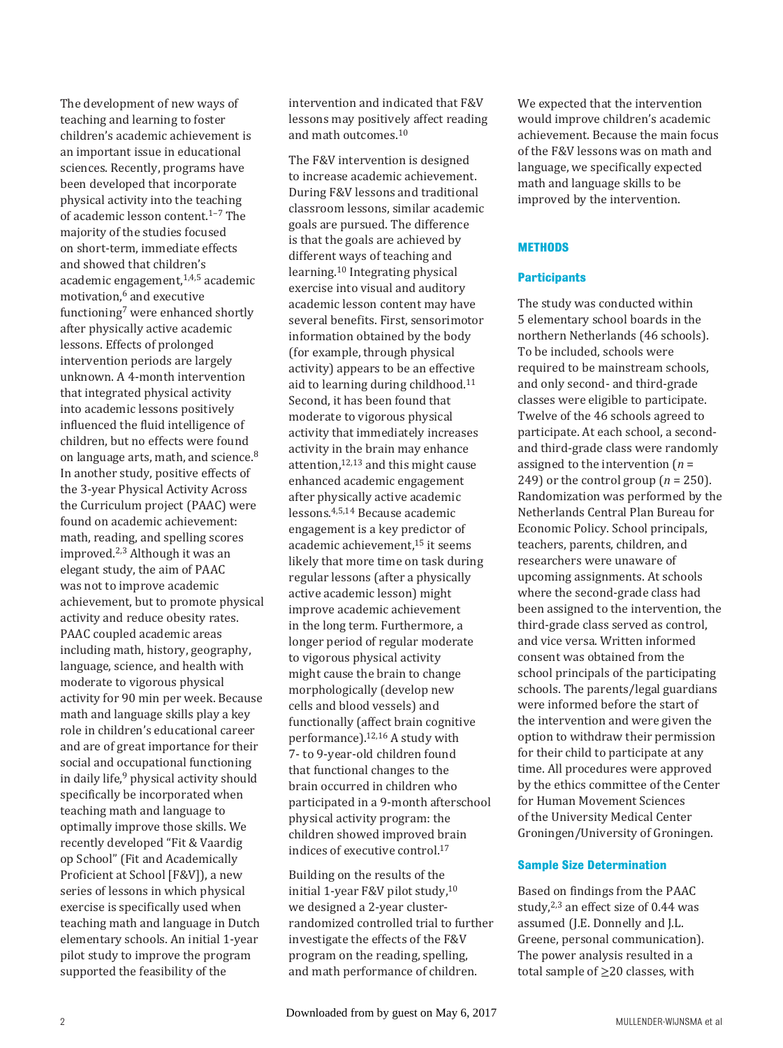The development of new ways of teaching and learning to foster children's academic achievement is an important issue in educational sciences. Recently, programs have been developed that incorporate physical activity into the teaching of academic lesson content.<sup>1-7</sup> The majority of the studies focused on short-term, immediate effects and showed that children's academic engagement, $1,4,5$  academic motivation,<sup>6</sup> and executive functioning<sup>7</sup> were enhanced shortly after physically active academic lessons. Effects of prolonged intervention periods are largely unknown. A 4-month intervention that integrated physical activity into academic lessons positively influenced the fluid intelligence of children, but no effects were found on language arts, math, and science.<sup>8</sup> In another study, positive effects of the 3-year Physical Activity Across the Curriculum project (PAAC) were found on academic achievement: math, reading, and spelling scores improved.2,3 Although it was an elegant study, the aim of PAAC was not to improve academic achievement, but to promote physical activity and reduce obesity rates. PAAC coupled academic areas including math, history, geography, language, science, and health with moderate to vigorous physical activity for 90 min per week. Because math and language skills play a key role in children's educational career and are of great importance for their social and occupational functioning in daily life,<sup>9</sup> physical activity should specifically be incorporated when teaching math and language to optimally improve those skills. We recently developed "Fit & Vaardig op School" (Fit and Academically Proficient at School [F&V]), a new series of lessons in which physical exercise is specifically used when teaching math and language in Dutch elementary schools. An initial 1-year pilot study to improve the program supported the feasibility of the

intervention and indicated that F&V lessons may positively affect reading and math outcomes.10

The F&V intervention is designed to increase academic achievement. During F&V lessons and traditional classroom lessons, similar academic goals are pursued. The difference is that the goals are achieved by different ways of teaching and learning.10 Integrating physical exercise into visual and auditory academic lesson content may have several benefits. First, sensorimotor information obtained by the body (for example, through physical activity) appears to be an effective aid to learning during childhood.11 Second, it has been found that moderate to vigorous physical activity that immediately increases activity in the brain may enhance attention, $12,13$  and this might cause enhanced academic engagement after physically active academic lessons.4,5,14 Because academic engagement is a key predictor of academic achievement,15 it seems likely that more time on task during regular lessons (after a physically active academic lesson) might improve academic achievement in the long term. Furthermore, a longer period of regular moderate to vigorous physical activity might cause the brain to change morphologically (develop new cells and blood vessels) and functionally (affect brain cognitive performance).12,16 A study with 7- to 9-year-old children found that functional changes to the brain occurred in children who participated in a 9-month afterschool physical activity program: the children showed improved brain indices of executive control.17

Building on the results of the initial 1-year F&V pilot study,<sup>10</sup> we designed a 2-year clusterrandomized controlled trial to further investigate the effects of the F&V program on the reading, spelling, and math performance of children.

We expected that the intervention would improve children's academic achievement. Because the main focus of the F&V lessons was on math and language, we specifically expected math and language skills to be improved by the intervention.

#### **METHODS**

#### **Participants**

The study was conducted within 5 elementary school boards in the northern Netherlands (46 schools). To be included, schools were required to be mainstream schools, and only second- and third-grade classes were eligible to participate. Twelve of the 46 schools agreed to participate. At each school, a secondand third-grade class were randomly assigned to the intervention (*n* = 249) or the control group  $(n = 250)$ . Randomization was performed by the Netherlands Central Plan Bureau for Economic Policy. School principals, teachers, parents, children, and researchers were unaware of upcoming assignments. At schools where the second-grade class had been assigned to the intervention, the third-grade class served as control, and vice versa. Written informed consent was obtained from the school principals of the participating schools. The parents/legal guardians were informed before the start of the intervention and were given the option to withdraw their permission for their child to participate at any time. All procedures were approved by the ethics committee of the Center for Human Movement Sciences of the University Medical Center Groningen/University of Groningen.

#### **Sample Size Determination**

Based on findings from the PAAC study, $2,3$  an effect size of 0.44 was assumed (J.E. Donnelly and J.L. Greene, personal communication). The power analysis resulted in a total sample of  $\geq$ 20 classes, with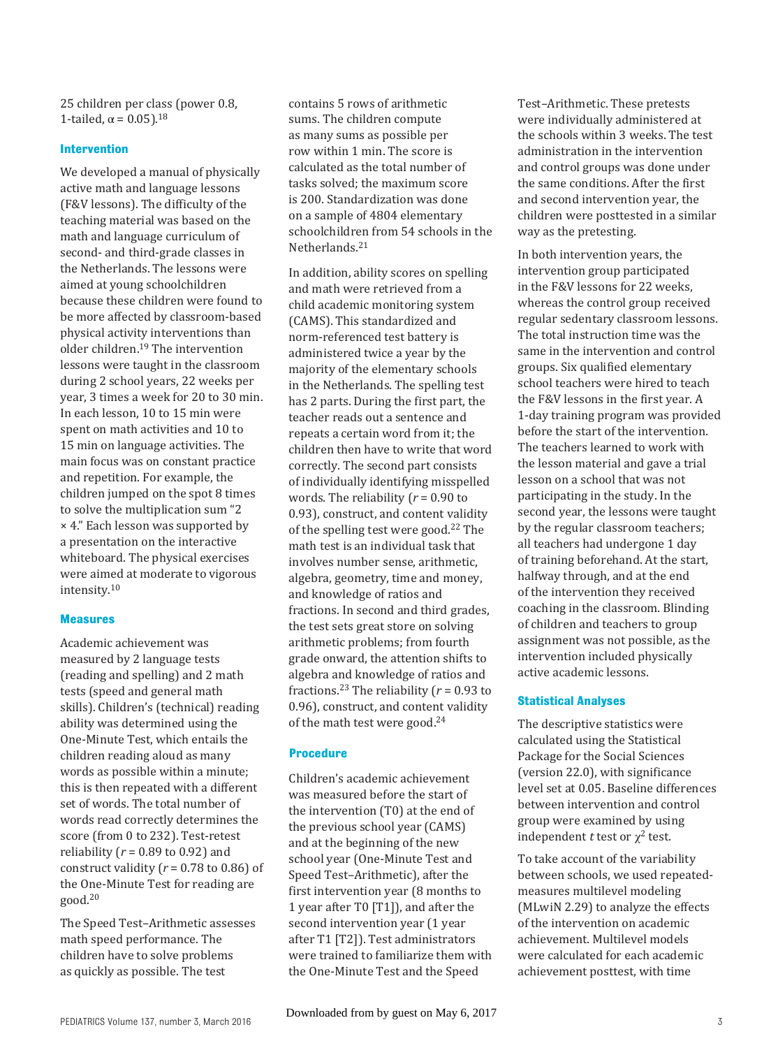25 children per class (power 0.8, 1-tailed,  $\alpha$  = 0.05).<sup>18</sup>

#### **Intervention**

We developed a manual of physically active math and language lessons (F&V lessons). The difficulty of the teaching material was based on the math and language curriculum of second- and third-grade classes in the Netherlands. The lessons were aimed at young schoolchildren because these children were found to be more affected by classroom-based physical activity interventions than older children.19 The intervention lessons were taught in the classroom during 2 school years, 22 weeks per year, 3 times a week for 20 to 30 min. In each lesson, 10 to 15 min were spent on math activities and 10 to 15 min on language activities. The main focus was on constant practice and repetition. For example, the children jumped on the spot 8 times to solve the multiplication sum "2 × 4." Each lesson was supported by a presentation on the interactive whiteboard. The physical exercises were aimed at moderate to vigorous intensity.10

#### **Measures**

Academic achievement was measured by 2 language tests (reading and spelling) and 2 math tests (speed and general math skills). Children's (technical) reading ability was determined using the One-Minute Test, which entails the children reading aloud as many words as possible within a minute; this is then repeated with a different set of words. The total number of words read correctly determines the score (from 0 to 232). Test-retest reliability (*r* = 0.89 to 0.92) and construct validity  $(r = 0.78$  to 0.86) of the One-Minute Test for reading are good.20

The Speed Test–Arithmetic assesses math speed performance. The children have to solve problems as quickly as possible. The test

contains 5 rows of arithmetic sums. The children compute as many sums as possible per row within 1 min. The score is calculated as the total number of tasks solved; the maximum score is 200. Standardization was done on a sample of 4804 elementary schoolchildren from 54 schools in the Netherlands.21

In addition, ability scores on spelling and math were retrieved from a child academic monitoring system (CAMS). This standardized and norm-referenced test battery is administered twice a year by the majority of the elementary schools in the Netherlands. The spelling test has 2 parts. During the first part, the teacher reads out a sentence and repeats a certain word from it; the children then have to write that word correctly. The second part consists of individually identifying misspelled words. The reliability (*r* = 0.90 to 0.93), construct, and content validity of the spelling test were good.<sup>22</sup> The math test is an individual task that involves number sense, arithmetic, algebra, geometry, time and money, and knowledge of ratios and fractions. In second and third grades, the test sets great store on solving arithmetic problems; from fourth grade onward, the attention shifts to algebra and knowledge of ratios and fractions.<sup>23</sup> The reliability ( $r = 0.93$  to 0.96), construct, and content validity of the math test were good.24

#### **Procedure**

Children's academic achievement was measured before the start of the intervention (T0) at the end of the previous school year (CAMS) and at the beginning of the new school year (One-Minute Test and Speed Test–Arithmetic), after the first intervention year (8 months to 1 year after T0 [T1]), and after the second intervention year (1 year after T1 [T2]). Test administrators were trained to familiarize them with the One-Minute Test and the Speed

Test–Arithmetic. These pretests were individually administered at the schools within 3 weeks. The test administration in the intervention and control groups was done under the same conditions. After the first and second intervention year, the children were posttested in a similar way as the pretesting.

In both intervention years, the intervention group participated in the F&V lessons for 22 weeks, whereas the control group received regular sedentary classroom lessons. The total instruction time was the same in the intervention and control groups. Six qualified elementary school teachers were hired to teach the F&V lessons in the first year. A 1-day training program was provided before the start of the intervention. The teachers learned to work with the lesson material and gave a trial lesson on a school that was not participating in the study. In the second year, the lessons were taught by the regular classroom teachers; all teachers had undergone 1 day of training beforehand. At the start, halfway through, and at the end of the intervention they received coaching in the classroom. Blinding of children and teachers to group assignment was not possible, as the intervention included physically active academic lessons.

#### **Statistical Analyses**

The descriptive statistics were calculated using the Statistical Package for the Social Sciences (version 22.0), with significance level set at 0.05. Baseline differences between intervention and control group were examined by using independent *t* test or  $\chi^2$  test.

To take account of the variability between schools, we used repeatedmeasures multilevel modeling (MLwiN 2.29) to analyze the effects of the intervention on academic achievement. Multilevel models were calculated for each academic achievement posttest, with time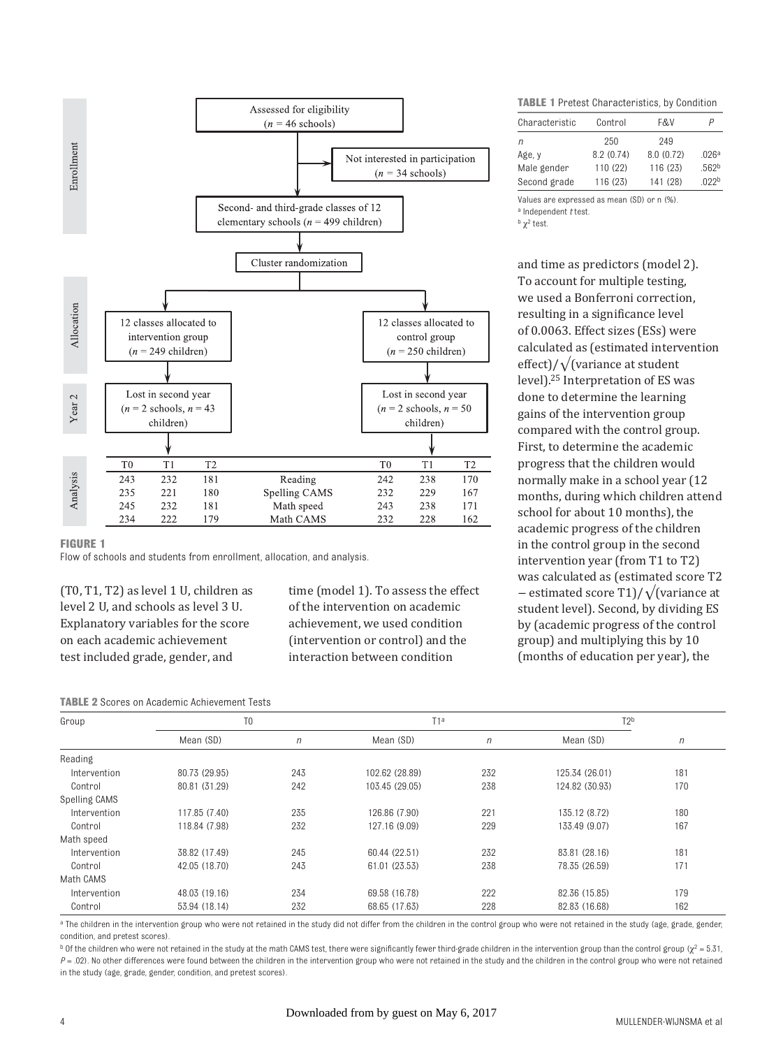

#### **FIGURE 1**

Flow of schools and students from enrollment, allocation, and analysis.

(T0, T1, T2) as level 1 U, children as level 2 U, and schools as level 3 U. Explanatory variables for the score on each academic achievement test included grade, gender, and

time (model 1). To assess the effect of the intervention on academic achievement, we used condition (intervention or control) and the interaction between condition

| <b>TABLE 2</b> Scores on Academic Achievement Tests |
|-----------------------------------------------------|
|-----------------------------------------------------|

**TABLE 1** Pretest Characteristics, by Condition

| Characteristic | Control   | F&V        | Ρ                 |
|----------------|-----------|------------|-------------------|
| n              | 250       | 249        |                   |
| Age, y         | 8.2(0.74) | 8.0 (0.72) | .026 <sup>a</sup> |
| Male gender    | 110 (22)  | 116 (23)   | .562 <sup>b</sup> |
| Second grade   | 116 (23)  | 141 (28)   | 022 <sub>b</sub>  |

Values are expressed as mean (SD) or n (%).

a Independent *t* test.

 $<sup>b</sup>$   $\chi^2$  test.</sup>

and time as predictors (model 2). To account for multiple testing, we used a Bonferroni correction, resulting in a significance level of 0.0063. Effect sizes (ESs) were calculated as (estimated intervention effect)/√(variance at student level).25 Interpretation of ES was done to determine the learning gains of the intervention group compared with the control group. First, to determine the academic progress that the children would normally make in a school year (12 months, during which children attend school for about 10 months), the academic progress of the children in the control group in the second intervention year (from T1 to T2) was calculated as (estimated score T2 − estimated score T1)/√(variance at student level). Second, by dividing ES by (academic progress of the control group) and multiplying this by 10 (months of education per year), the

| Group         | T <sub>0</sub> |        | T1 <sup>a</sup> |        | T2 <sup>b</sup> |     |
|---------------|----------------|--------|-----------------|--------|-----------------|-----|
|               | Mean (SD)      | $\eta$ | Mean (SD)       | $\eta$ | Mean (SD)       | n   |
| Reading       |                |        |                 |        |                 |     |
| Intervention  | 80.73 (29.95)  | 243    | 102.62 (28.89)  | 232    | 125.34 (26.01)  | 181 |
| Control       | 80.81 (31.29)  | 242    | 103.45 (29.05)  | 238    | 124.82 (30.93)  | 170 |
| Spelling CAMS |                |        |                 |        |                 |     |
| Intervention  | 117.85 (7.40)  | 235    | 126.86 (7.90)   | 221    | 135.12 (8.72)   | 180 |
| Control       | 118.84 (7.98)  | 232    | 127.16 (9.09)   | 229    | 133.49 (9.07)   | 167 |
| Math speed    |                |        |                 |        |                 |     |
| Intervention  | 38.82 (17.49)  | 245    | 60.44 (22.51)   | 232    | 83.81 (28.16)   | 181 |
| Control       | 42.05 (18.70)  | 243    | 61.01 (23.53)   | 238    | 78.35 (26.59)   | 171 |
| Math CAMS     |                |        |                 |        |                 |     |
| Intervention  | 48.03 (19.16)  | 234    | 69.58 (16.78)   | 222    | 82.36 (15.85)   | 179 |
| Control       | 53.94 (18.14)  | 232    | 68.65 (17.63)   | 228    | 82.83 (16.68)   | 162 |

<sup>a</sup> The children in the intervention group who were not retained in the study did not differ from the children in the control group who were not retained in the study (age, grade, gender, condition, and pretest scores).

**b** Of the children who were not retained in the study at the math CAMS test, there were significantly fewer third-grade children in the intervention group than the control group ( $\chi^2 = 5.31$ , *P* = .02). No other differences were found between the children in the intervention group who were not retained in the study and the children in the control group who were not retained in the study (age, grade, gender, condition, and pretest scores).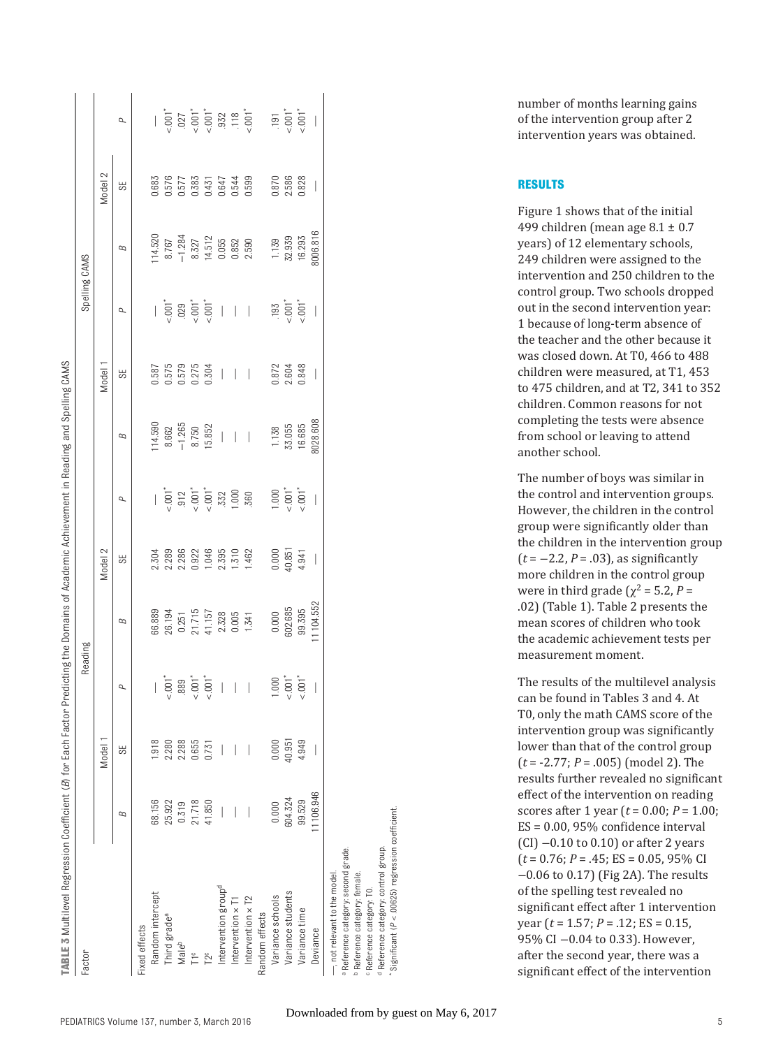| TABLE 3 Multilevel Regression Coefficient ( <i>B)</i> for Each Factor Predicting the Domains of Academic Achievement in Reading and Spelling CAMS |                          |         |                          |          |                          |                                |                          |                          |                          |          |                                       |                                  |
|---------------------------------------------------------------------------------------------------------------------------------------------------|--------------------------|---------|--------------------------|----------|--------------------------|--------------------------------|--------------------------|--------------------------|--------------------------|----------|---------------------------------------|----------------------------------|
| Factor                                                                                                                                            |                          |         | Reading                  |          |                          |                                |                          |                          | Spelling CAMS            |          |                                       |                                  |
|                                                                                                                                                   |                          | Model 1 |                          |          | Model 2                  |                                |                          | Model                    |                          |          | Model 2                               |                                  |
|                                                                                                                                                   | В                        | 55      | Q                        | В        | 3S                       | σ                              | В                        | 3S                       | ρ                        | В        | 55                                    | ρ                                |
| Fixed effects                                                                                                                                     |                          |         |                          |          |                          |                                |                          |                          |                          |          |                                       |                                  |
| Random intercept                                                                                                                                  | 68.156                   | .918    |                          | 66.889   | 2.304                    |                                | 14.590                   | 0.587                    |                          | 14.520   | 0.683                                 |                                  |
| Third grade <sup>a</sup>                                                                                                                          | 25.922                   | 2.280   | $1001*$                  | 26.194   | 2.289                    | $-0.001$                       | 8.662                    | 0.575                    | $<0.001$                 | 8.767    | 0.576                                 | $<0.01$ $^{\ast}$                |
| Maleb                                                                                                                                             | 0.319                    | 2.288   | .889                     | 0.251    | 2.286                    | .912                           | $-1.265$                 | 0.579                    | .029                     | $-1.284$ | 0.577                                 | .027                             |
| $\frac{1}{2}$                                                                                                                                     | 21.718                   | 0.655   | $<0.01$ $^*$             | 21.715   | 0.922                    | $\frac{1}{6}$ 001 <sup>*</sup> | 8.750                    | 0.275                    | $-0.001$                 | 8.327    | 0.383                                 |                                  |
| r2 <sup>c</sup>                                                                                                                                   | 41.850                   | 0.731   | $<0.001$                 | 41.157   | 1.046                    |                                | 15.852                   | 0.304                    | $1001*$                  | 14.512   | 0.431                                 | $\frac{1}{6}$ = 001 <sup>*</sup> |
| Intervention group <sup>d</sup>                                                                                                                   | $\overline{\phantom{a}}$ |         | $\bigg $                 | 2.328    | 2.395                    | .332                           | $\bigg $                 | $\overline{\phantom{a}}$ | $\overline{\phantom{a}}$ | 0.055    | 0.647                                 |                                  |
| Intervention $\times$ T                                                                                                                           |                          |         | $\overline{\phantom{a}}$ | 0.005    | 1.510                    | 1.000                          | $\overline{\phantom{a}}$ | $\overline{\phantom{a}}$ | $\overline{\phantom{0}}$ | 0.852    | 0.544                                 | $\frac{932}{118}$                |
| Intervention x T2                                                                                                                                 |                          |         | $\overline{\phantom{a}}$ | 1.341    | 1.462                    | .360                           | $\overline{\phantom{a}}$ | $\overline{\phantom{a}}$ | $\overline{\phantom{a}}$ | 2.590    | 0.599                                 |                                  |
| Random effects                                                                                                                                    |                          |         |                          |          |                          |                                |                          |                          |                          |          |                                       |                                  |
| Variance schools                                                                                                                                  | 0.000                    | 0.000   | 000                      | 0.000    | 0.000                    | 000.1                          | 1.138                    | 0.872                    | .193                     | 1.139    | 0.870                                 | 191                              |
| Variance students                                                                                                                                 | 604.324                  | 40.951  | $-001$ <sup>*</sup>      | 602.685  | 40.851                   | $-0.001$                       | 33.055                   | 2.604                    | $5.001$ <sup>*</sup>     | 32.939   | 2.586                                 | $5.001$ <sup>*</sup>             |
| Variance time                                                                                                                                     | 99.529                   | 4.949   | $-1001$                  | 99.395   | 4.941                    | $< 001*$                       | 16.685                   | 0.848                    | $1001*$                  | 16.293   | 0.828                                 | $-0.01$                          |
| Deviance                                                                                                                                          | 1106.946                 |         | $\mid$                   | 1104.552 | $\overline{\phantom{a}}$ | $\bigg\}$                      | 8028.608                 | $\overline{\phantom{a}}$ | $\overline{\phantom{a}}$ | 3006.816 | $\begin{array}{c} \hline \end{array}$ | $\overline{\phantom{a}}$         |
| -, not relevant to the model.                                                                                                                     |                          |         |                          |          |                          |                                |                          |                          |                          |          |                                       |                                  |
| Reference category: second grade.                                                                                                                 |                          |         |                          |          |                          |                                |                          |                          |                          |          |                                       |                                  |
| Reference category: female.<br><sup>c</sup> Reference category: T0.                                                                               |                          |         |                          |          |                          |                                |                          |                          |                          |          |                                       |                                  |

number of months learning gains of the intervention group after 2 intervention years was obtained.

#### **RESULTS**

Figure 1 shows that of the initial 499 children (mean age  $8.1 \pm 0.7$ years) of 12 elementary schools, 249 children were assigned to the intervention and 250 children to the control group. Two schools dropped out in the second intervention year: 1 because of long-term absence of the teacher and the other because it was closed down. At T0, 466 to 488 children were measured, at T1, 453 to 475 children, and at T2, 341 to 352 children. Common reasons for not completing the tests were absence from school or leaving to attend another school.

The number of boys was similar in the control and intervention groups. However, the children in the control group were significantly older than the children in the intervention group (*t* = −2.2, *P* = .03), as significantly more children in the control group were in third grade ( $\chi^2$  = 5.2, *P* = .02) (Table 1). Table 2 presents the mean scores of children who took the academic achievement tests per measurement moment.

The results of the multilevel analysis can be found in Tables 3 and 4. At T0, only the math CAMS score of the intervention group was significantly lower than that of the control group (*t* = -2.77; *P* = .005) (model 2). The results further revealed no significant effect of the intervention on reading scores after 1 year (*t* = 0.00; *P* = 1.00; ES = 0.00, 95% confidence interval (CI) −0.10 to 0.10) or after 2 years (*t* = 0.76; *P* = .45; ES = 0.05, 95% CI −0.06 to 0.17) (Fig 2A). The results of the spelling test revealed no significant effect after 1 intervention year (*t* = 1.57; *P* = .12; ES = 0.15, 95% CI -0.04 to 0.33). However, after the second year, there was a significant effect of the intervention

d Reference category: control group. \* Signifi cant (*P* < .00625) regression coeffi cient.

Reference category: control group.

Significant (P < .00625) regression coefficient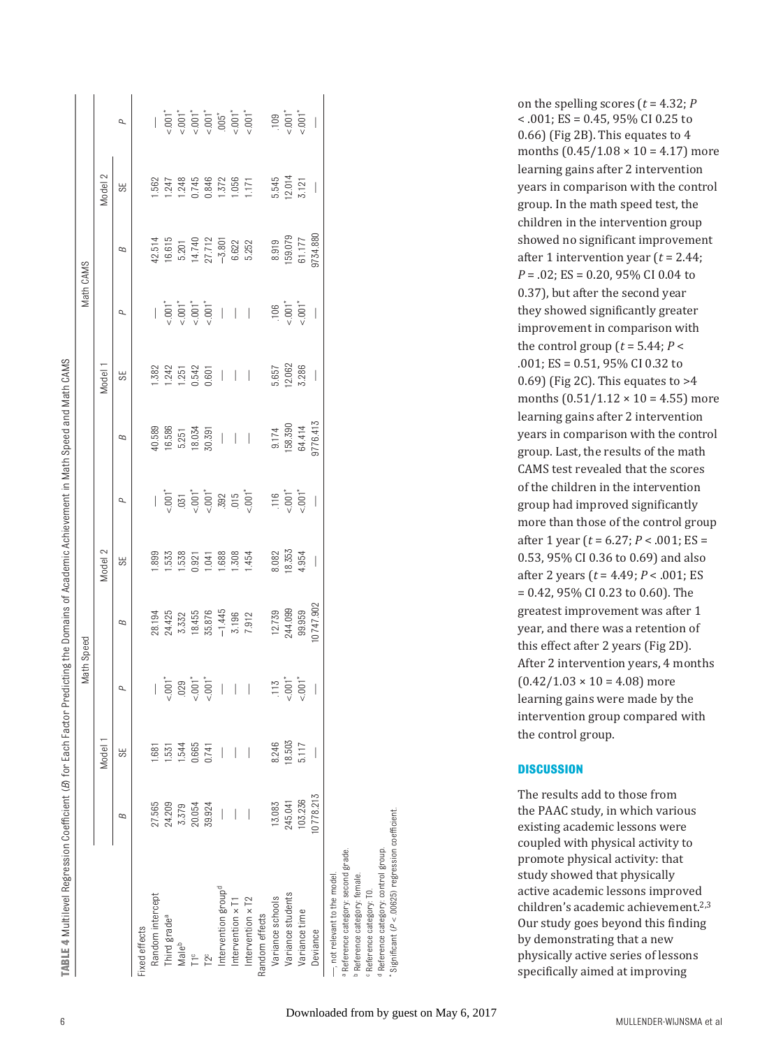| $< .001$ $^{\ast}$<br>$-0.01$<br>$-0.01$<br>$-0.05$<br>$-0.01$<br>$-0.01$<br>$-0.01$<br>$1001*$<br>$1001*$<br>.109<br>ρ<br>Model 2<br>12.014<br>0.846<br>5.545<br>.248<br>0.745<br>1.372<br>1.056<br>.562<br>.247<br>3.121<br>1171<br>$\overline{\phantom{a}}$<br>55<br>9734.880<br>159.079<br>61.177<br>42.514<br>16.615<br>27.712<br>8.919<br>14.740<br>$-3.801$<br>6.622<br>5.252<br>5.201<br>В<br>$\frac{1}{2}$ .001 <sup>*</sup><br>$5.001$ <sup>*</sup><br>$-001$<br>$< .001$<br>$5.001*$<br>.106<br>$\begin{array}{c} \hline \end{array}$<br>$\overline{\phantom{a}}$<br>$\overline{\phantom{a}}$<br>$\bigg\}$<br>ρ<br>12.062<br>3.286<br>242<br>0.542<br>.382<br>5.657<br>Model<br>1.251<br>0.601<br>$\overline{\phantom{a}}$<br>$\bigg $<br>55<br>$\overline{\phantom{a}}$<br>$\overline{\phantom{a}}$<br>9776.413<br>158.390<br>64.414<br>16.586<br>40.589<br>18.034<br>9.174<br>30.391<br>5.251<br>$\overline{\phantom{a}}$<br>$\overline{\phantom{a}}$<br>$\overline{\phantom{a}}$<br>В<br>$<0.01$<br>$1001*$<br>$-0.001$<br>$-0.001$<br>$-015$<br>$-001$<br>5.001<br>.116<br>392<br>.031<br>$\bigg\vert$<br>σ<br>Model 2<br>18.353<br>4.954<br>.508<br>8.082<br>899<br>533<br>.538<br>.688<br>1.454<br>0.921<br>.041<br>$\bigg $<br>55<br>10747.902<br>244.099<br>$-1.445$<br>99.959<br>35.876<br>12.739<br>24.425<br>18.455<br>28.194<br>7.912<br>3.196<br>3.332<br>В<br>$-001$ <sup>*</sup><br>$-001$ <sup>*</sup><br>$-001$ <sup>*</sup><br>$-001$ <sup>*</sup><br>$\overline{0}$<br>.029<br>511.<br>$\overline{\phantom{a}}$<br>$\bigg $<br>$\begin{array}{c} \hline \end{array}$<br>$\bigg $<br>σ<br>Model 1<br>18.503<br>8.246<br>5.117<br>1.544<br>0.665<br>531<br><b>681</b><br>0.741<br>I<br>55<br>10778.213<br>103.236<br>245.041<br>27.565<br>24.209<br>13.083<br>20.054<br>39.924<br>3.379<br>$\overline{\phantom{a}}$<br>В<br>Intervention group <sup>d</sup><br>Random intercept<br>Variance students<br>Variance schools<br>Intervention x T2<br>Intervention x T1<br>Variance time<br>Random effects<br>Third grade <sup>a</sup><br>Fixed effects<br>Deviance<br>Maleb<br>$\overline{\phantom{a}}$<br>T <sub>2</sub> c |                                      |  |  | Math CAMS |  |          |
|-----------------------------------------------------------------------------------------------------------------------------------------------------------------------------------------------------------------------------------------------------------------------------------------------------------------------------------------------------------------------------------------------------------------------------------------------------------------------------------------------------------------------------------------------------------------------------------------------------------------------------------------------------------------------------------------------------------------------------------------------------------------------------------------------------------------------------------------------------------------------------------------------------------------------------------------------------------------------------------------------------------------------------------------------------------------------------------------------------------------------------------------------------------------------------------------------------------------------------------------------------------------------------------------------------------------------------------------------------------------------------------------------------------------------------------------------------------------------------------------------------------------------------------------------------------------------------------------------------------------------------------------------------------------------------------------------------------------------------------------------------------------------------------------------------------------------------------------------------------------------------------------------------------------------------------------------------------------------------------------------------------------------------------------------------------------------------------------------------------------------------------------------------|--------------------------------------|--|--|-----------|--|----------|
|                                                                                                                                                                                                                                                                                                                                                                                                                                                                                                                                                                                                                                                                                                                                                                                                                                                                                                                                                                                                                                                                                                                                                                                                                                                                                                                                                                                                                                                                                                                                                                                                                                                                                                                                                                                                                                                                                                                                                                                                                                                                                                                                                     |                                      |  |  |           |  |          |
|                                                                                                                                                                                                                                                                                                                                                                                                                                                                                                                                                                                                                                                                                                                                                                                                                                                                                                                                                                                                                                                                                                                                                                                                                                                                                                                                                                                                                                                                                                                                                                                                                                                                                                                                                                                                                                                                                                                                                                                                                                                                                                                                                     |                                      |  |  |           |  |          |
|                                                                                                                                                                                                                                                                                                                                                                                                                                                                                                                                                                                                                                                                                                                                                                                                                                                                                                                                                                                                                                                                                                                                                                                                                                                                                                                                                                                                                                                                                                                                                                                                                                                                                                                                                                                                                                                                                                                                                                                                                                                                                                                                                     |                                      |  |  |           |  |          |
|                                                                                                                                                                                                                                                                                                                                                                                                                                                                                                                                                                                                                                                                                                                                                                                                                                                                                                                                                                                                                                                                                                                                                                                                                                                                                                                                                                                                                                                                                                                                                                                                                                                                                                                                                                                                                                                                                                                                                                                                                                                                                                                                                     |                                      |  |  |           |  |          |
|                                                                                                                                                                                                                                                                                                                                                                                                                                                                                                                                                                                                                                                                                                                                                                                                                                                                                                                                                                                                                                                                                                                                                                                                                                                                                                                                                                                                                                                                                                                                                                                                                                                                                                                                                                                                                                                                                                                                                                                                                                                                                                                                                     |                                      |  |  |           |  |          |
|                                                                                                                                                                                                                                                                                                                                                                                                                                                                                                                                                                                                                                                                                                                                                                                                                                                                                                                                                                                                                                                                                                                                                                                                                                                                                                                                                                                                                                                                                                                                                                                                                                                                                                                                                                                                                                                                                                                                                                                                                                                                                                                                                     |                                      |  |  |           |  |          |
|                                                                                                                                                                                                                                                                                                                                                                                                                                                                                                                                                                                                                                                                                                                                                                                                                                                                                                                                                                                                                                                                                                                                                                                                                                                                                                                                                                                                                                                                                                                                                                                                                                                                                                                                                                                                                                                                                                                                                                                                                                                                                                                                                     |                                      |  |  |           |  |          |
|                                                                                                                                                                                                                                                                                                                                                                                                                                                                                                                                                                                                                                                                                                                                                                                                                                                                                                                                                                                                                                                                                                                                                                                                                                                                                                                                                                                                                                                                                                                                                                                                                                                                                                                                                                                                                                                                                                                                                                                                                                                                                                                                                     |                                      |  |  |           |  |          |
|                                                                                                                                                                                                                                                                                                                                                                                                                                                                                                                                                                                                                                                                                                                                                                                                                                                                                                                                                                                                                                                                                                                                                                                                                                                                                                                                                                                                                                                                                                                                                                                                                                                                                                                                                                                                                                                                                                                                                                                                                                                                                                                                                     |                                      |  |  |           |  |          |
|                                                                                                                                                                                                                                                                                                                                                                                                                                                                                                                                                                                                                                                                                                                                                                                                                                                                                                                                                                                                                                                                                                                                                                                                                                                                                                                                                                                                                                                                                                                                                                                                                                                                                                                                                                                                                                                                                                                                                                                                                                                                                                                                                     |                                      |  |  |           |  |          |
|                                                                                                                                                                                                                                                                                                                                                                                                                                                                                                                                                                                                                                                                                                                                                                                                                                                                                                                                                                                                                                                                                                                                                                                                                                                                                                                                                                                                                                                                                                                                                                                                                                                                                                                                                                                                                                                                                                                                                                                                                                                                                                                                                     |                                      |  |  |           |  |          |
|                                                                                                                                                                                                                                                                                                                                                                                                                                                                                                                                                                                                                                                                                                                                                                                                                                                                                                                                                                                                                                                                                                                                                                                                                                                                                                                                                                                                                                                                                                                                                                                                                                                                                                                                                                                                                                                                                                                                                                                                                                                                                                                                                     |                                      |  |  |           |  |          |
|                                                                                                                                                                                                                                                                                                                                                                                                                                                                                                                                                                                                                                                                                                                                                                                                                                                                                                                                                                                                                                                                                                                                                                                                                                                                                                                                                                                                                                                                                                                                                                                                                                                                                                                                                                                                                                                                                                                                                                                                                                                                                                                                                     |                                      |  |  |           |  |          |
|                                                                                                                                                                                                                                                                                                                                                                                                                                                                                                                                                                                                                                                                                                                                                                                                                                                                                                                                                                                                                                                                                                                                                                                                                                                                                                                                                                                                                                                                                                                                                                                                                                                                                                                                                                                                                                                                                                                                                                                                                                                                                                                                                     |                                      |  |  |           |  | $-0.001$ |
|                                                                                                                                                                                                                                                                                                                                                                                                                                                                                                                                                                                                                                                                                                                                                                                                                                                                                                                                                                                                                                                                                                                                                                                                                                                                                                                                                                                                                                                                                                                                                                                                                                                                                                                                                                                                                                                                                                                                                                                                                                                                                                                                                     |                                      |  |  |           |  |          |
|                                                                                                                                                                                                                                                                                                                                                                                                                                                                                                                                                                                                                                                                                                                                                                                                                                                                                                                                                                                                                                                                                                                                                                                                                                                                                                                                                                                                                                                                                                                                                                                                                                                                                                                                                                                                                                                                                                                                                                                                                                                                                                                                                     |                                      |  |  |           |  |          |
|                                                                                                                                                                                                                                                                                                                                                                                                                                                                                                                                                                                                                                                                                                                                                                                                                                                                                                                                                                                                                                                                                                                                                                                                                                                                                                                                                                                                                                                                                                                                                                                                                                                                                                                                                                                                                                                                                                                                                                                                                                                                                                                                                     | Reference category: female.          |  |  |           |  |          |
| Reference category: second grade.                                                                                                                                                                                                                                                                                                                                                                                                                                                                                                                                                                                                                                                                                                                                                                                                                                                                                                                                                                                                                                                                                                                                                                                                                                                                                                                                                                                                                                                                                                                                                                                                                                                                                                                                                                                                                                                                                                                                                                                                                                                                                                                   | <sup>c</sup> Reference category: T0. |  |  |           |  |          |

on the spelling scores (*t* = 4.32; *P* < .001; ES = 0.45, 95% CI 0.25 to 0.66) (Fig 2B). This equates to 4 months  $(0.45/1.08 \times 10 = 4.17)$  more learning gains after 2 intervention years in comparison with the control group. In the math speed test, the children in the intervention group showed no significant improvement after 1 intervention year (*t* = 2.44; *P* = .02; ES = 0.20, 95% CI 0.04 to 0.37), but after the second year they showed significantly greater improvement in comparison with the control group  $(t = 5.44; P <$ .001; ES = 0.51, 95% CI 0.32 to 0.69) (Fig 2C). This equates to >4 months  $(0.51/1.12 \times 10 = 4.55)$  more learning gains after 2 intervention years in comparison with the control group. Last, the results of the math CAMS test revealed that the scores of the children in the intervention group had improved significantly more than those of the control group after 1 year (*t* = 6.27; *P* < .001; ES = 0.53, 95% CI 0.36 to 0.69) and also after 2 years (*t* = 4.49; *P* < .001; ES = 0.42, 95% CI 0.23 to 0.60). The greatest improvement was after 1 year, and there was a retention of this effect after 2 years (Fig 2D). After 2 intervention years, 4 months  $(0.42/1.03 \times 10 = 4.08)$  more learning gains were made by the intervention group compared with the control group.

#### **DISCUSSION**

The results add to those from the PAAC study, in which various existing academic lessons were coupled with physical activity to promote physical activity: that study showed that physically active academic lessons improved children's academic achievement.<sup>2,3</sup> Our study goes beyond this finding by demonstrating that a new physically active series of lessons specifically aimed at improving

d Reference category: control group. \* Signifi cant (*P* < .00625) regression coeffi cient.

Significant (P < .00625) regression coefficient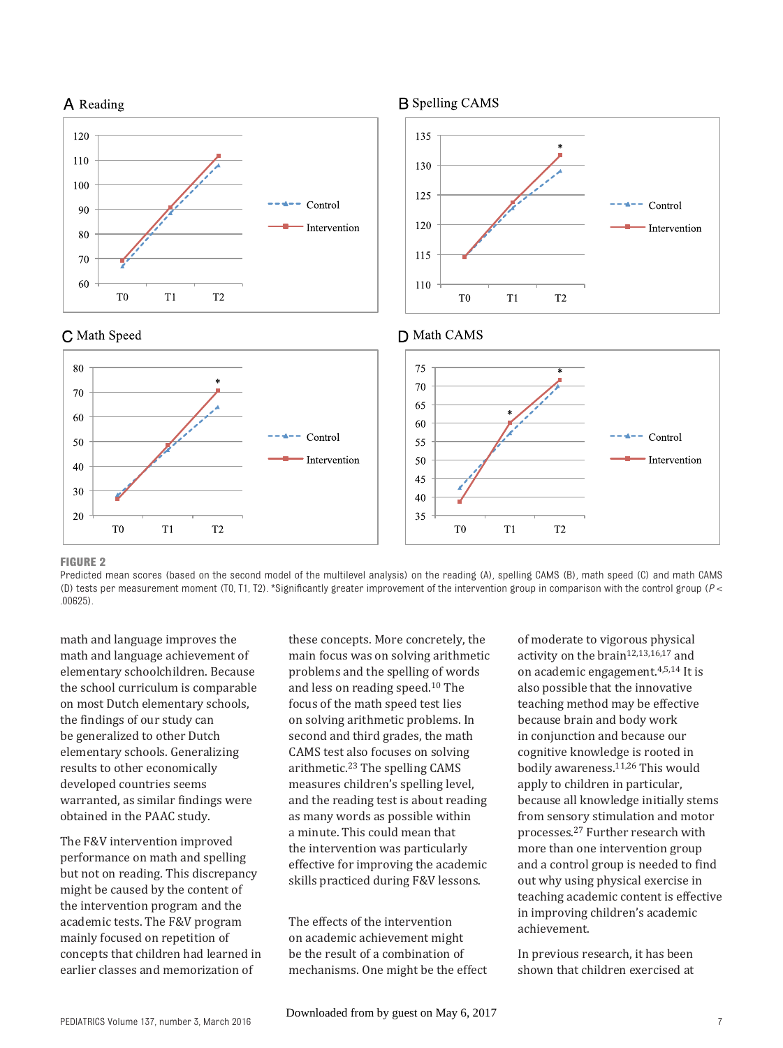



#### **FIGURE 2**

Predicted mean scores (based on the second model of the multilevel analysis) on the reading (A), spelling CAMS (B), math speed (C) and math CAMS (D) tests per measurement moment (T0, T1, T2). \*Significantly greater improvement of the intervention group in comparison with the control group ( $P$  < .00625).

math and language improves the math and language achievement of elementary schoolchildren. Because the school curriculum is comparable on most Dutch elementary schools, the findings of our study can be generalized to other Dutch elementary schools. Generalizing results to other economically developed countries seems warranted, as similar findings were obtained in the PAAC study.

The F&V intervention improved performance on math and spelling but not on reading. This discrepancy might be caused by the content of the intervention program and the academic tests. The F&V program mainly focused on repetition of concepts that children had learned in earlier classes and memorization of

these concepts. More concretely, the main focus was on solving arithmetic problems and the spelling of words and less on reading speed.10 The focus of the math speed test lies on solving arithmetic problems. In second and third grades, the math CAMS test also focuses on solving arithmetic. $23$  The spelling CAMS measures children's spelling level, and the reading test is about reading as many words as possible within a minute. This could mean that the intervention was particularly effective for improving the academic skills practiced during F&V lessons.

The effects of the intervention on academic achievement might be the result of a combination of mechanisms. One might be the effect of moderate to vigorous physical activity on the brain<sup>12,13,16,17</sup> and on academic engagement.4,5,14 It is also possible that the innovative teaching method may be effective because brain and body work in conjunction and because our cognitive knowledge is rooted in bodily awareness.11,26 This would apply to children in particular, because all knowledge initially stems from sensory stimulation and motor processes.27 Further research with more than one intervention group and a control group is needed to find out why using physical exercise in teaching academic content is effective in improving children's academic achievement.

Control

 $T<sub>2</sub>$ 

Intervention

In previous research, it has been shown that children exercised at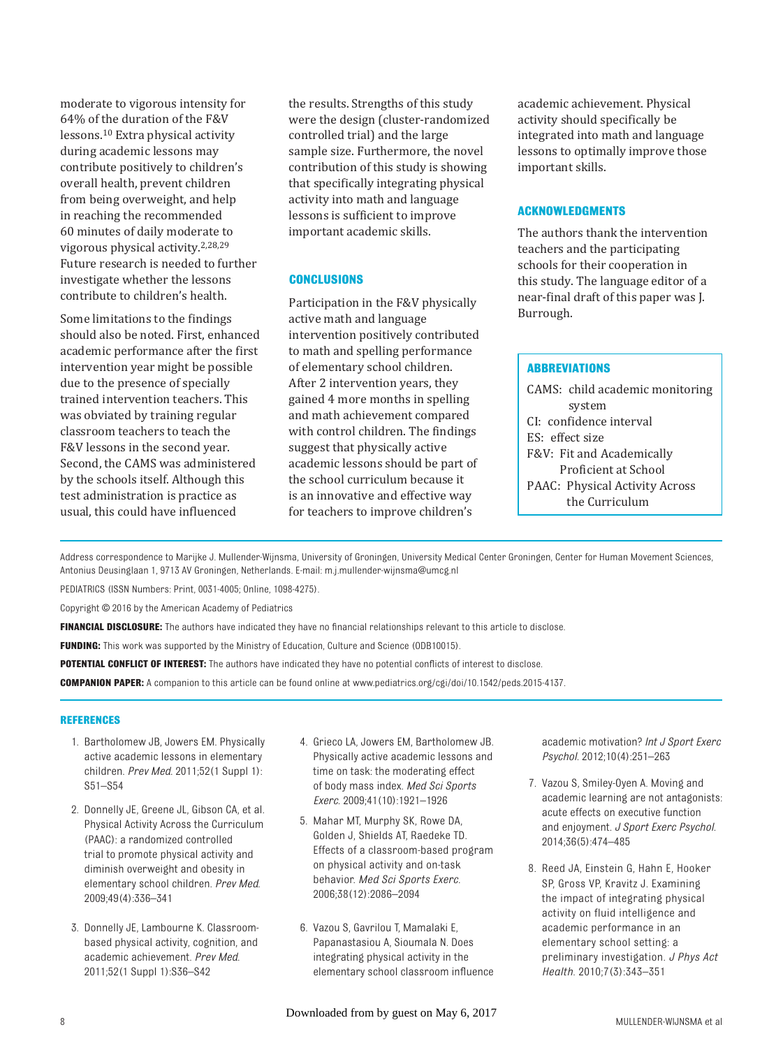moderate to vigorous intensity for 64% of the duration of the F&V lessons.10 Extra physical activity during academic lessons may contribute positively to children's overall health, prevent children from being overweight, and help in reaching the recommended 60 minutes of daily moderate to vigorous physical activity.2,28,29 Future research is needed to further investigate whether the lessons contribute to children's health.

Some limitations to the findings should also be noted. First, enhanced academic performance after the first intervention year might be possible due to the presence of specially trained intervention teachers. This was obviated by training regular classroom teachers to teach the F&V lessons in the second year. Second, the CAMS was administered by the schools itself. Although this test administration is practice as usual, this could have influenced

the results. Strengths of this study were the design (cluster-randomized controlled trial) and the large sample size. Furthermore, the novel contribution of this study is showing that specifically integrating physical activity into math and language lessons is sufficient to improve important academic skills.

#### **CONCLUSIONS**

Participation in the F&V physically active math and language intervention positively contributed to math and spelling performance of elementary school children. After 2 intervention years, they gained 4 more months in spelling and math achievement compared with control children. The findings suggest that physically active academic lessons should be part of the school curriculum because it is an innovative and effective way for teachers to improve children's

academic achievement. Physical activity should specifically be integrated into math and language lessons to optimally improve those important skills.

#### **ACKNOWLEDGMENTS**

The authors thank the intervention teachers and the participating schools for their cooperation in this study. The language editor of a near-final draft of this paper was J. Burrough.

#### **ABBREVIATIONS**

CAMS: child academic monitoring system CI: confidence interval ES: effect size F&V: Fit and Academically Proficient at School PAAC: Physical Activity Across the Curriculum

 Address correspondence to Marijke J. Mullender-Wijnsma, University of Groningen, University Medical Center Groningen, Center for Human Movement Sciences, Antonius Deusinglaan 1, 9713 AV Groningen, Netherlands. E-mail: m.j.mullender-wijnsma@umcg.nl

PEDIATRICS (ISSN Numbers: Print, 0031-4005; Online, 1098-4275).

Copyright © 2016 by the American Academy of Pediatrics

FINANCIAL DISCLOSURE: The authors have indicated they have no financial relationships relevant to this article to disclose.

**FUNDING:** This work was supported by the Ministry of Education, Culture and Science (ODB10015).

**POTENTIAL CONFLICT OF INTEREST:** The authors have indicated they have no potential conflicts of interest to disclose.

COMPANION PAPER: A companion to this article can be found online at www.pediatrics.org/cgi/doi/10.1542/peds.2015-4137.

#### **REFERENCES**

- 1. Bartholomew JB, Jowers EM. Physically active academic lessons in elementary children. *Prev Med*. 2011;52(1 Suppl 1): S51–S54
- 2. Donnelly JE, Greene JL, Gibson CA, et al. Physical Activity Across the Curriculum (PAAC): a randomized controlled trial to promote physical activity and diminish overweight and obesity in elementary school children. *Prev Med*. 2009;49(4):336–341
- 3. Donnelly JE, Lambourne K. Classroombased physical activity, cognition, and academic achievement. *Prev Med*. 2011;52(1 Suppl 1):S36–S42
- 4. Grieco LA, Jowers EM, Bartholomew JB. Physically active academic lessons and time on task: the moderating effect of body mass index. *Med Sci Sports Exerc*. 2009;41(10):1921–1926
- 5. Mahar MT, Murphy SK, Rowe DA, Golden J, Shields AT, Raedeke TD. Effects of a classroom-based program on physical activity and on-task behavior. *Med Sci Sports Exerc*. 2006;38(12):2086–2094
- 6. Vazou S, Gavrilou T, Mamalaki E, Papanastasiou A, Sioumala N. Does integrating physical activity in the elementary school classroom influence

academic motivation? *Int J Sport Exerc Psychol*. 2012;10(4):251–263

- 7. Vazou S, Smiley-Oyen A. Moving and academic learning are not antagonists: acute effects on executive function and enjoyment. *J Sport Exerc Psychol*. 2014;36(5):474–485
- 8. Reed JA, Einstein G, Hahn E, Hooker SP, Gross VP, Kravitz J. Examining the impact of integrating physical activity on fluid intelligence and academic performance in an elementary school setting: a preliminary investigation. *J Phys Act Health*. 2010;7(3):343–351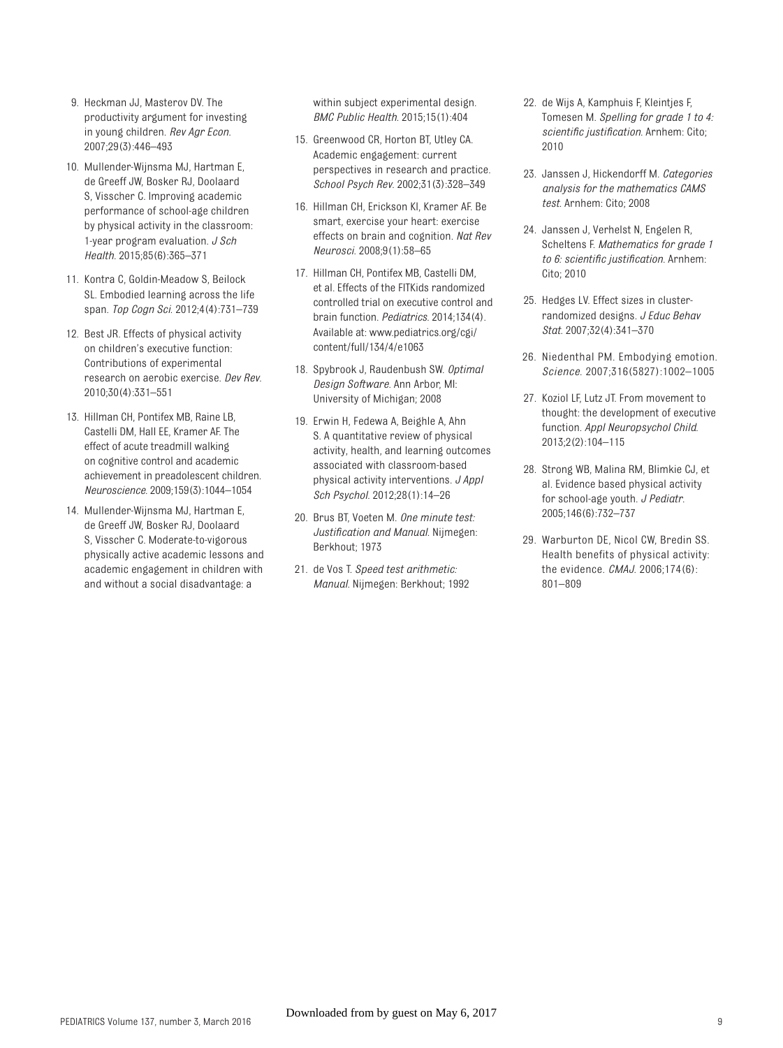- 9. Heckman JJ, Masterov DV. The productivity argument for investing in young children. *Rev Agr Econ.* 2007;29(3):446–493
- 10. Mullender-Wijnsma MJ, Hartman E, de Greeff JW, Bosker RJ, Doolaard S, Visscher C. Improving academic performance of school-age children by physical activity in the classroom: 1-year program evaluation. *J Sch Health*. 2015;85(6):365–371
- 11. Kontra C, Goldin-Meadow S, Beilock SL. Embodied learning across the life span. *Top Cogn Sci*. 2012;4(4):731–739
- 12. Best JR. Effects of physical activity on children's executive function: Contributions of experimental research on aerobic exercise. *Dev Rev*. 2010;30(4):331–551
- 13. Hillman CH, Pontifex MB, Raine LB, Castelli DM, Hall EE, Kramer AF. The effect of acute treadmill walking on cognitive control and academic achievement in preadolescent children. *Neuroscience*. 2009;159(3):1044–1054
- 14. Mullender-Wijnsma MJ, Hartman E, de Greeff JW, Bosker RJ, Doolaard S, Visscher C. Moderate-to-vigorous physically active academic lessons and academic engagement in children with and without a social disadvantage: a

within subject experimental design. *BMC Public Health*. 2015;15(1):404

- 15. Greenwood CR, Horton BT, Utley CA. Academic engagement: current perspectives in research and practice. *School Psych Rev*. 2002;31(3):328–349
- 16. Hillman CH, Erickson KI, Kramer AF. Be smart, exercise your heart: exercise effects on brain and cognition. *Nat Rev Neurosci*. 2008;9(1):58–65
- 17. Hillman CH, Pontifex MB, Castelli DM, et al. Effects of the FITKids randomized controlled trial on executive control and brain function. *Pediatrics*. 2014;134(4). Available at: www.pediatrics.org/cgi/ content/full/134/4/e1063
- 18. Spybrook J, Raudenbush SW. *Optimal Design Software*. Ann Arbor, MI: University of Michigan; 2008
- 19. Erwin H, Fedewa A, Beighle A, Ahn S. A quantitative review of physical activity, health, and learning outcomes associated with classroom-based physical activity interventions. *J Appl Sch Psychol*. 2012;28(1):14–26
- 20. Brus BT, Voeten M. *One minute test: Justifi cation and Manual*. Nijmegen: Berkhout; 1973
- 21. de Vos T. *Speed test arithmetic: Manual*. Nijmegen: Berkhout; 1992
- 22. de Wijs A, Kamphuis F, Kleintjes F, Tomesen M. *Spelling for grade 1 to 4: scientifi c justifi cation*. Arnhem: Cito; 2010
- 23. Janssen J, Hickendorff M. *Categories analysis for the mathematics CAMS test*. Arnhem: Cito; 2008
- 24. Janssen J, Verhelst N, Engelen R, Scheltens F. *Mathematics for grade 1 to 6: scientific justification.* Arnhem: Cito; 2010
- 25. Hedges LV. Effect sizes in clusterrandomized designs. *J Educ Behav Stat*. 2007;32(4):341–370
- 26. Niedenthal PM. Embodying emotion. *Science*. 2007;316(5827):1002–1005
- 27. Koziol LF, Lutz JT. From movement to thought: the development of executive function. *Appl Neuropsychol Child*. 2013;2(2):104–115
- 28. Strong WB, Malina RM, Blimkie CJ, et al. Evidence based physical activity for school-age youth. *J Pediatr*. 2005;146(6):732–737
- 29. Warburton DE, Nicol CW, Bredin SS. Health benefits of physical activity: the evidence. *CMAJ*. 2006;174(6): 801–809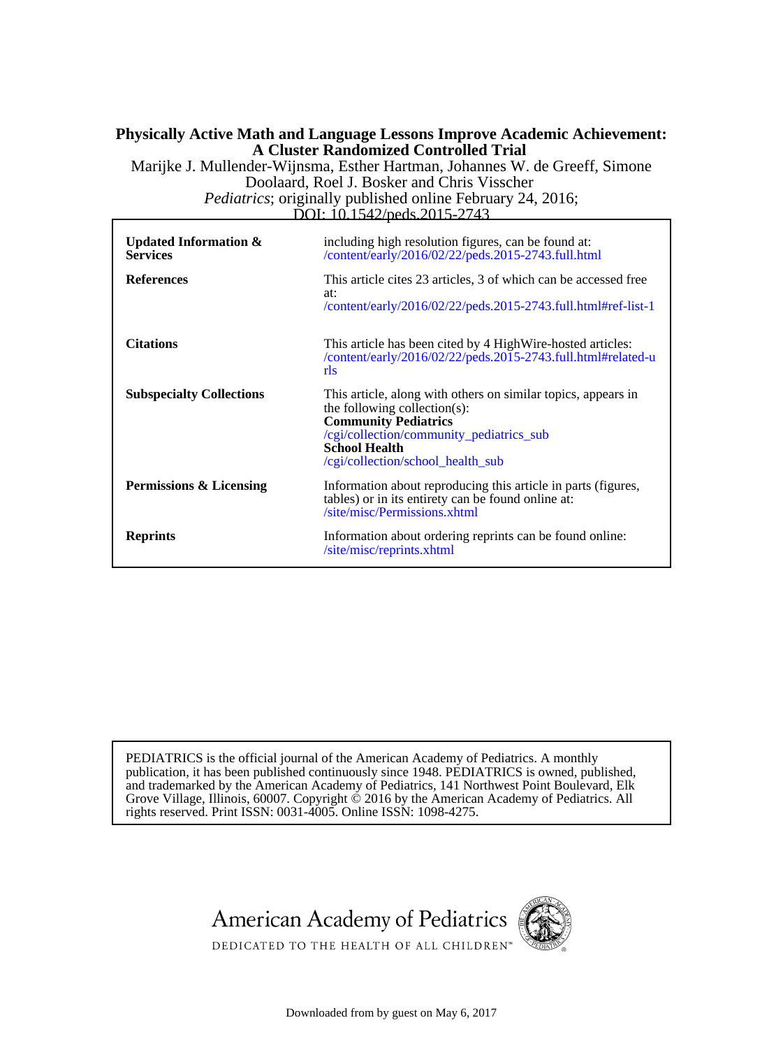### **A Cluster Randomized Controlled Trial Physically Active Math and Language Lessons Improve Academic Achievement:**

Doolaard, Roel J. Bosker and Chris Visscher Marijke J. Mullender-Wijnsma, Esther Hartman, Johannes W. de Greeff, Simone

DOI: 10.1542/peds.2015-2743 *Pediatrics*; originally published online February 24, 2016;

| Updated Information $\&$<br><b>Services</b><br><b>References</b> | including high resolution figures, can be found at:<br>/content/early/2016/02/22/peds.2015-2743.full.html<br>This article cites 23 articles, 3 of which can be accessed free<br>at:<br>/content/early/2016/02/22/peds.2015-2743.full.html#ref-list-1 |
|------------------------------------------------------------------|------------------------------------------------------------------------------------------------------------------------------------------------------------------------------------------------------------------------------------------------------|
| <b>Citations</b>                                                 | This article has been cited by 4 High Wire-hosted articles:<br>/content/early/2016/02/22/peds.2015-2743.full.html#related-u<br>rls                                                                                                                   |
| <b>Subspecialty Collections</b>                                  | This article, along with others on similar topics, appears in<br>the following collection(s):<br><b>Community Pediatrics</b><br>/cgi/collection/community_pediatrics_sub<br><b>School Health</b><br>/cgi/collection/school_health_sub                |
| Permissions & Licensing                                          | Information about reproducing this article in parts (figures,<br>tables) or in its entirety can be found online at:<br>/site/misc/Permissions.xhtml                                                                                                  |
| <b>Reprints</b>                                                  | Information about ordering reprints can be found online:<br>/site/misc/reprints.xhtml                                                                                                                                                                |

rights reserved. Print ISSN: 0031-4005. Online ISSN: 1098-4275. Grove Village, Illinois, 60007. Copyright  $\ddot{\odot}$  2016 by the American Academy of Pediatrics. All and trademarked by the American Academy of Pediatrics, 141 Northwest Point Boulevard, Elk publication, it has been published continuously since 1948. PEDIATRICS is owned, published, PEDIATRICS is the official journal of the American Academy of Pediatrics. A monthly





DEDICATED TO THE HEALTH OF ALL CHILDREN™